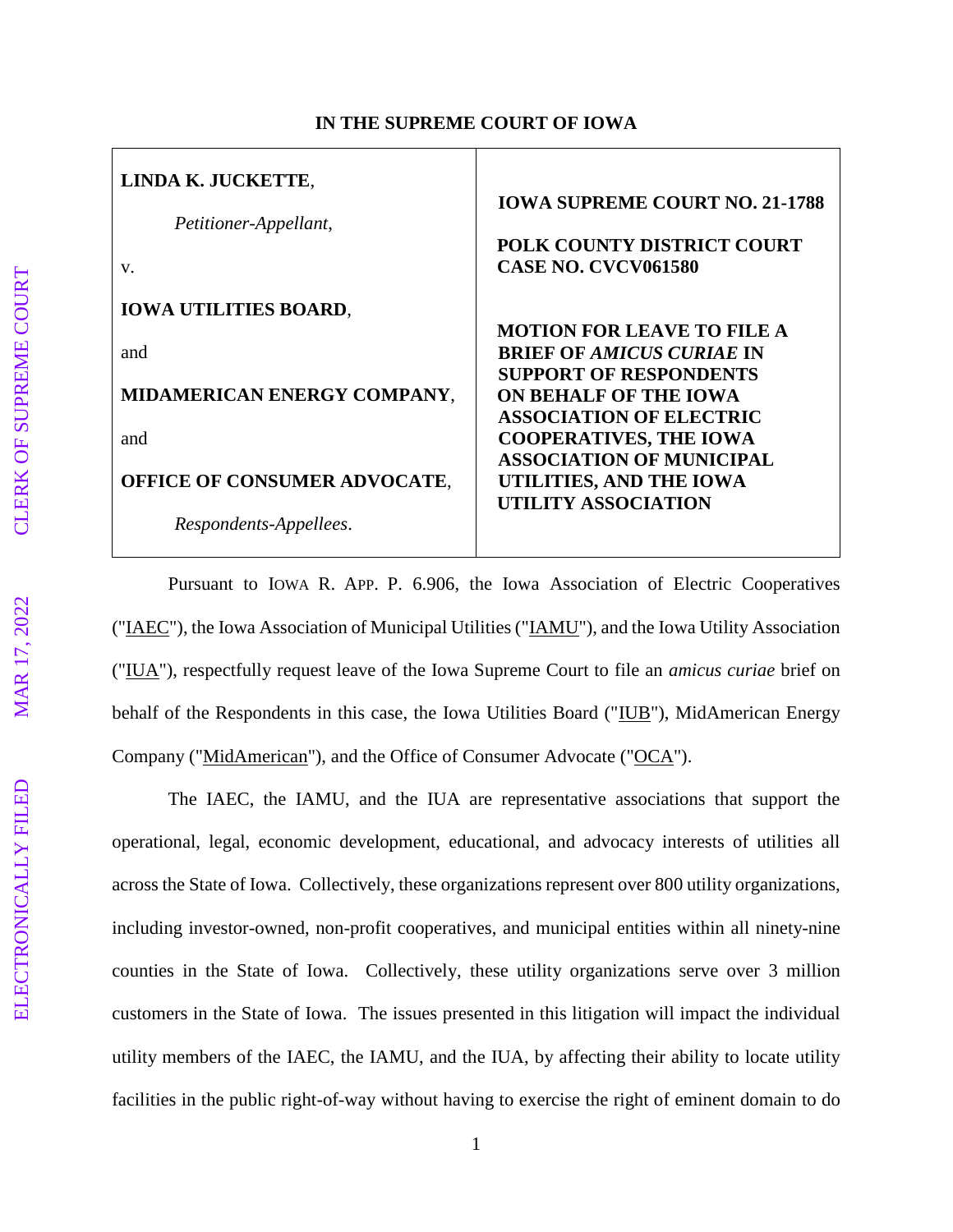| LINDA K. JUCKETTE,<br>Petitioner-Appellant,<br>V. | <b>IOWA SUPREME COURT NO. 21-1788</b><br>POLK COUNTY DISTRICT COURT<br><b>CASE NO. CVCV061580</b>      |
|---------------------------------------------------|--------------------------------------------------------------------------------------------------------|
| <b>IOWA UTILITIES BOARD,</b>                      |                                                                                                        |
| and                                               | <b>MOTION FOR LEAVE TO FILE A</b><br><b>BRIEF OF AMICUS CURIAE IN</b><br><b>SUPPORT OF RESPONDENTS</b> |
| MIDAMERICAN ENERGY COMPANY,                       | <b>ON BEHALF OF THE IOWA</b>                                                                           |
| and                                               | <b>ASSOCIATION OF ELECTRIC</b><br><b>COOPERATIVES, THE IOWA</b><br><b>ASSOCIATION OF MUNICIPAL</b>     |
| <b>OFFICE OF CONSUMER ADVOCATE,</b>               | UTILITIES, AND THE IOWA                                                                                |
| Respondents-Appellees.                            | UTILITY ASSOCIATION                                                                                    |

## **IN THE SUPREME COURT OF IOWA**

Pursuant to IOWA R. APP. P. 6.906, the Iowa Association of Electric Cooperatives ("IAEC"), the Iowa Association of Municipal Utilities ("IAMU"), and the Iowa Utility Association ("IUA"), respectfully request leave of the Iowa Supreme Court to file an *amicus curiae* brief on behalf of the Respondents in this case, the Iowa Utilities Board ("IUB"), MidAmerican Energy Company ("MidAmerican"), and the Office of Consumer Advocate ("OCA").

The IAEC, the IAMU, and the IUA are representative associations that support the operational, legal, economic development, educational, and advocacy interests of utilities all across the State of Iowa. Collectively, these organizations represent over 800 utility organizations, including investor-owned, non-profit cooperatives, and municipal entities within all ninety-nine counties in the State of Iowa. Collectively, these utility organizations serve over 3 million customers in the State of Iowa. The issues presented in this litigation will impact the individual utility members of the IAEC, the IAMU, and the IUA, by affecting their ability to locate utility facilities in the public right-of-way without having to exercise the right of eminent domain to do

MAR 17, 2022

ELECTRONICALLY FILED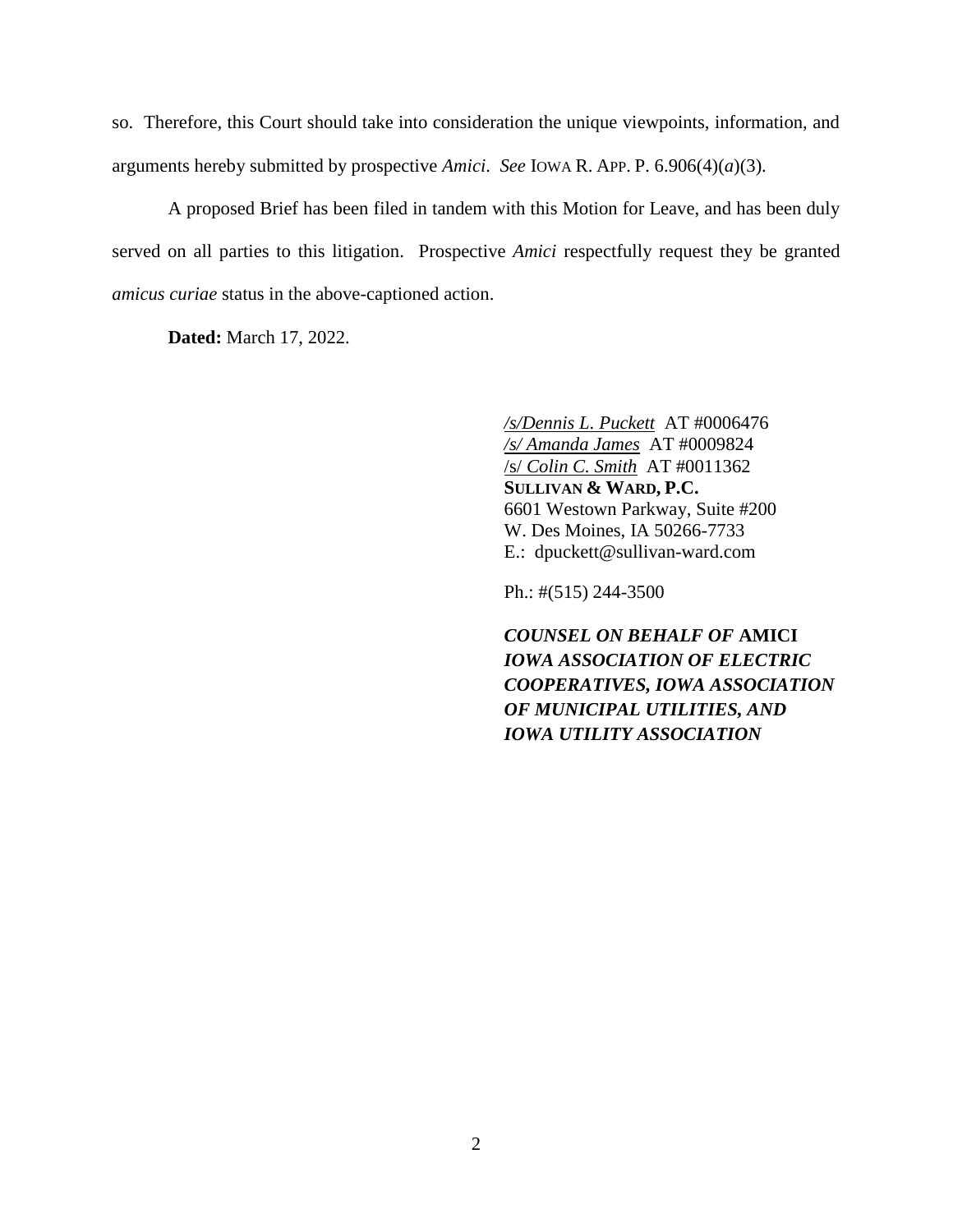so. Therefore, this Court should take into consideration the unique viewpoints, information, and arguments hereby submitted by prospective *Amici*. *See* IOWA R. APP. P. 6.906(4)(*a*)(3).

A proposed Brief has been filed in tandem with this Motion for Leave, and has been duly served on all parties to this litigation. Prospective *Amici* respectfully request they be granted *amicus curiae* status in the above-captioned action.

**Dated:** March 17, 2022.

*/s/Dennis L. Puckett* AT #0006476 */s/ Amanda James* AT #0009824 /s/ *Colin C. Smith* AT #0011362 **SULLIVAN & WARD, P.C.** 6601 Westown Parkway, Suite #200 W. Des Moines, IA 50266-7733 E.: dpuckett@sullivan-ward.com

Ph.: #(515) 244-3500

*COUNSEL ON BEHALF OF* **AMICI** *IOWA ASSOCIATION OF ELECTRIC COOPERATIVES, IOWA ASSOCIATION OF MUNICIPAL UTILITIES, AND IOWA UTILITY ASSOCIATION*